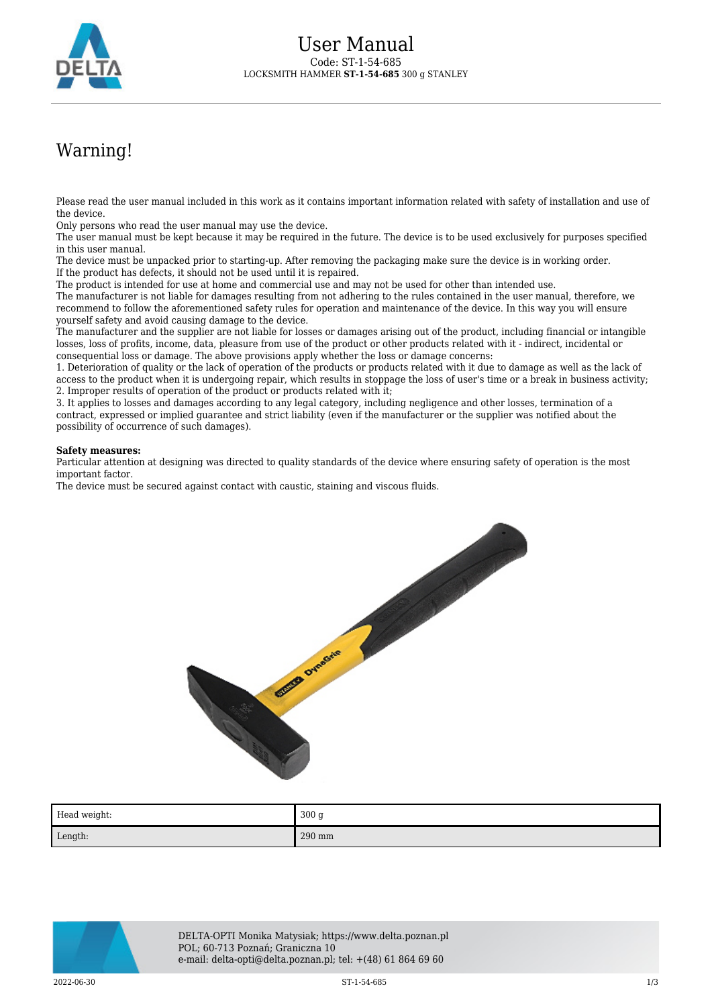

## Warning!

Please read the user manual included in this work as it contains important information related with safety of installation and use of the device.

Only persons who read the user manual may use the device.

The user manual must be kept because it may be required in the future. The device is to be used exclusively for purposes specified in this user manual.

The device must be unpacked prior to starting-up. After removing the packaging make sure the device is in working order. If the product has defects, it should not be used until it is repaired.

The product is intended for use at home and commercial use and may not be used for other than intended use.

The manufacturer is not liable for damages resulting from not adhering to the rules contained in the user manual, therefore, we recommend to follow the aforementioned safety rules for operation and maintenance of the device. In this way you will ensure yourself safety and avoid causing damage to the device.

The manufacturer and the supplier are not liable for losses or damages arising out of the product, including financial or intangible losses, loss of profits, income, data, pleasure from use of the product or other products related with it - indirect, incidental or consequential loss or damage. The above provisions apply whether the loss or damage concerns:

1. Deterioration of quality or the lack of operation of the products or products related with it due to damage as well as the lack of access to the product when it is undergoing repair, which results in stoppage the loss of user's time or a break in business activity; 2. Improper results of operation of the product or products related with it;

3. It applies to losses and damages according to any legal category, including negligence and other losses, termination of a contract, expressed or implied guarantee and strict liability (even if the manufacturer or the supplier was notified about the possibility of occurrence of such damages).

## **Safety measures:**

Particular attention at designing was directed to quality standards of the device where ensuring safety of operation is the most important factor.

The device must be secured against contact with caustic, staining and viscous fluids.



| Head weight: | 300 <sub>g</sub> |
|--------------|------------------|
| Length:      | 290 mm           |



DELTA-OPTI Monika Matysiak; https://www.delta.poznan.pl POL; 60-713 Poznań; Graniczna 10 e-mail: delta-opti@delta.poznan.pl; tel: +(48) 61 864 69 60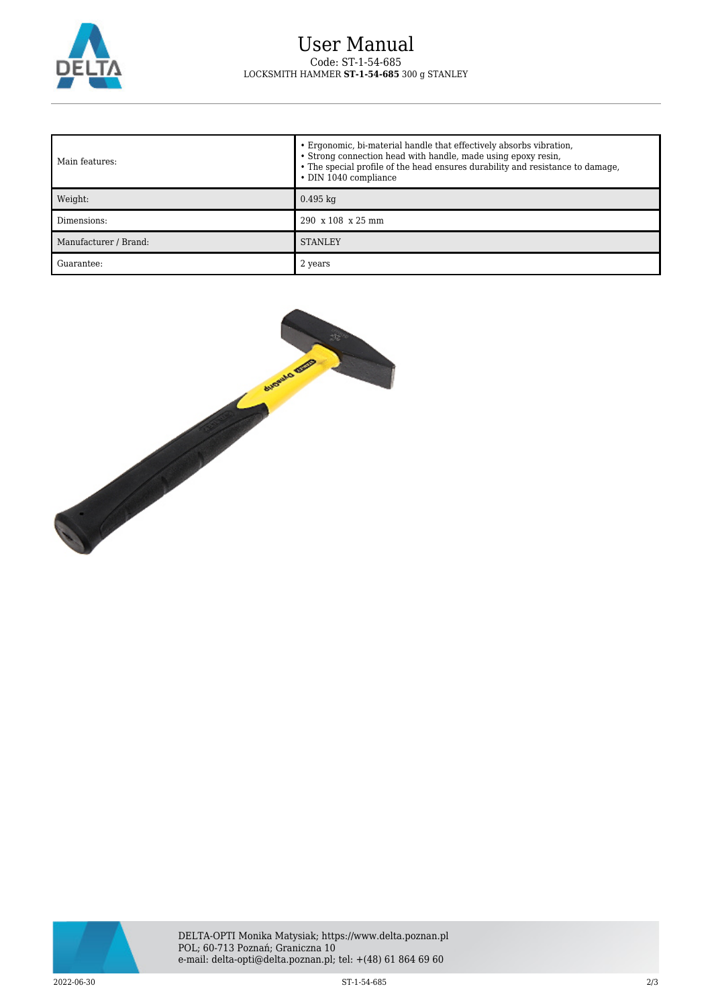

## User Manual Code: ST-1-54-685 LOCKSMITH HAMMER **ST-1-54-685** 300 g STANLEY

| l Main features:      | • Ergonomic, bi-material handle that effectively absorbs vibration,<br>• Strong connection head with handle, made using epoxy resin,<br>• The special profile of the head ensures durability and resistance to damage,<br>• DIN 1040 compliance |
|-----------------------|-------------------------------------------------------------------------------------------------------------------------------------------------------------------------------------------------------------------------------------------------|
| Weight:               | $0.495$ kg                                                                                                                                                                                                                                      |
| Dimensions:           | $290 \times 108 \times 25$ mm                                                                                                                                                                                                                   |
| Manufacturer / Brand: | <b>STANLEY</b>                                                                                                                                                                                                                                  |
| Guarantee:            | 2 years                                                                                                                                                                                                                                         |